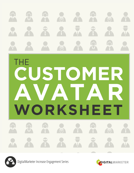



DigitalMarketer Increase Engagement Series

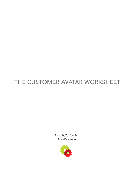## THE CUSTOMER AVATAR WORKSHEET

Brought To You By: DigitalMarketer

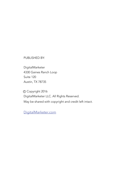PUBLISHED BY:

DigitalMarketer 4330 Gaines Ranch Loop Suite 120 Austin, TX 78735

c Copyright 2016 DigitalMarketer LLC. All Rights Reserved. May be shared with copyright and credit left intact.

[DigitalMarketer.com](www.digitalmarketer.com?utm_source=lead-magnet&utm_medium=lead-magnet-cross-links&utm_campaign=customer-avatar-worksheet-evergreen)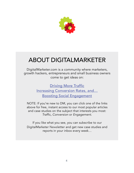

# ABOUT DIGITALMARKETER

DigitalMarketer.com is a community where marketers, growth hackers, entrepreneurs and small business owners come to get ideas on:

> **[Driving More Traffic](http://www.digitalmarketer.com/drive-more-traffic/?utm_source=lead-magnet&utm_medium=lead-magnet-cross-links&utm_campaign=customer-avatar-worksheet-evergreen)** [Increasing Conversion Rates, and…](http://www.digitalmarketer.com/boost-conversions/?utm_source=lead-magnet&utm_medium=lead-magnet-cross-links&utm_campaign=customer-avatar-worksheet-evergreen) [Boosting Social Engagement](http://www.digitalmarketer.com/increase-engagement/?utm_source=lead-magnet&utm_medium=lead-magnet-cross-links&utm_campaign=customer-avatar-worksheet-evergreen)

NOTE: If you're new to DM, you can click one of the links above for free, instant access to our most popular articles and case studies on the subject that interests you most: Traffic, *Conversion* or *Engagement*.

If you like what you see, you can subscribe to our DigitalMarketer Newsletter and get new case studies and reports in your inbox every week…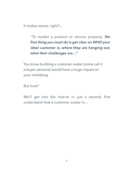It makes sense, right?...

*"To market a product or service properly, the first thing you must do is get clear on WHO your ideal customer is, where they are hanging out, what their challenges are…"* 

You know building a customer avatar (some call it a buyer persona) would have a huge impact on your marketing.

But how?

We'll get into the *how-to* in just a second, first understand that a customer avatar is…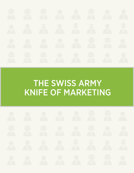

# THE SWISS ARMY KNIFE OF MARKETING

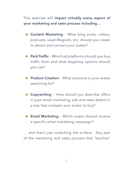This exercise will **impact virtually every aspect of your marketing and sales process including…**

- **Content Marketing** What blog posts, videos, podcasts, Lead Magnets, etc. should you create to attract and convert your avatar?
- **Paid Traffic** Which ad platforms should you buy traffic from and what targeting options should you use?
- **Product Creation** What solutions is your avatar searching for?
- **Copywriting** How should you describe offers in your email marketing, ads and sales letters in a way that compels your avatar to buy?
- **Email Marketing** Which avatar should receive a specific email marketing campaign?

… and that's just scratching the surface. Any part of the marketing and sales process that "touches"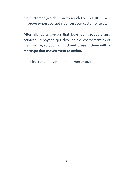the customer (which is pretty much EVERYTHING) **will improve when you get clear on your customer avatar.**

After all, it's a person that buys our products and services. It pays to get clear on the characteristics of that person, so you can **find and present them with a message that moves them to action.**

Let's look at an example customer avatar…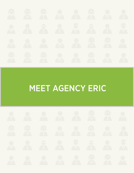

# MEET AGENCY ERIC

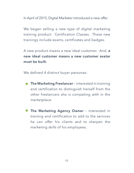In April of 2015, Digital Marketer introduced a new offer.

We began selling a new type of digital marketing training product: Certification Classes. These new trainings include exams, certificates and badges.

A new product means a new ideal customer. And, **a new ideal customer means a new customer avatar must be built.** 

We defined 4 distinct buyer personas:

- **The Marketing Freelancer** interested in training and certification to distinguish herself from the other freelancers she is competing with in the marketplace.
- **The Marketing Agency Owner** interested in training and certification to add to the services he can offer his clients and to sharpen the marketing skills of his employees.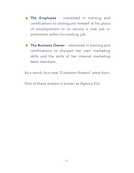- **The Employee** interested in training and certifications to distinguish himself at his place of employement or to secure a new job or promotion within his existing job.
- **The Business Owner** interested in training and certifications to sharpen her own marketing skills and the skills of her internal marketing team members.

As a result, four new "Customer Avatars" were born.

One of these avatars is known as Agency Eric.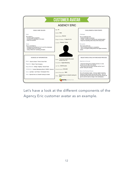

Let's have a look at the different components of the Agency Eric customer avatar as an example.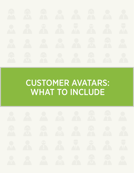

# CUSTOMER AVATARS: WHAT TO INCLUDE

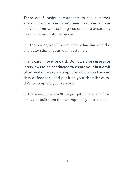There are 5 major components to the customer avatar. In some cases, you'll need to survey or have conversations with existing customers to accurately flesh out your customer avatar.

In other cases, you'll be intimately familiar with the characteristics of your ideal customer.

In any case, **move forward. Don't wait for surveys or interviews to be conducted to create your first draft of an avatar.** Make assumptions where you have no data or feedback and put it on your short list of todo's to complete your research.

In the meantime, you'll begin getting benefit from an avatar built from the assumptions you've made.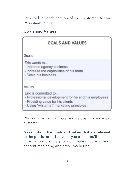Let's look at each section of the Customer Avatar Worksheet in turn…

### **Goals and Values**



We begin with the goals and values of your ideal customer.

Make note of the goals and values that are relevant to the products and services you offer. You'll use this information to drive product creation, copywriting, content marketing and email marketing.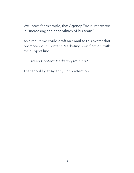We know, for example, that Agency Eric is interested in "increasing the capabilities of his team."

As a result, we could draft an email to this avatar that promotes our Content Marketing certification with the subject line:

*Need Content Marketing training?*

That should get Agency Eric's attention.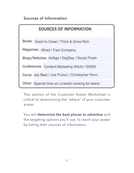### **Sources of Information**

| <b>SOURCES OF INFORMATION</b>                  |                                                   |  |  |  |
|------------------------------------------------|---------------------------------------------------|--|--|--|
| Books: Good to Great / Think & Grow Rich       |                                                   |  |  |  |
| Magazines: Wired / Fast Company                |                                                   |  |  |  |
| Blogs/Websites: AdAge / DigiDay / Social Fresh |                                                   |  |  |  |
| Conferences: Content Marketing World / SXSW    |                                                   |  |  |  |
|                                                | Gurus: Jay Baer / Joe Pulizzi / Christopher Penn  |  |  |  |
|                                                | Other: Spends time on LinkedIn looking for talent |  |  |  |

This section of the Customer Avatar Worksheet is critical to determining the "where" of your customer avatar.

You will **determine the best places to advertise** and the targeting options you'll use to reach your avatar by listing their sources of information.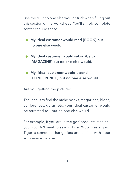Use the "But no one else would" trick when filling out this section of the worksheet. You'll simply complete sentences like these…

- **My ideal customer would read [BOOK] but no one else would.**
- **My ideal customer would subscribe to [MAGAZINE] but no one else would.**
- **My ideal customer would attend [CONFERENCE] but no one else would.**

Are you getting the picture?

The idea is to find the niche books, magazines, blogs, conferences, gurus, etc. your ideal customer would be attracted to – but no one else would.

For example, if you are in the golf products market – you wouldn't want to assign Tiger Woods as a guru. Tiger is someone that golfers are familiar with – but so is everyone else.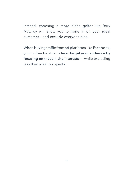## Instead, choosing a more niche golfer like Rory McElroy will allow you to hone in on your ideal customer – and exclude everyone else.

When buying traffic from ad platforms like Facebook, you'll often be able to **laser target your audience by focusing on these niche interests** -- while excluding less than ideal prospects.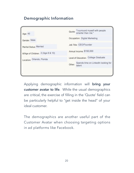### **Demographic Information**

| Age: 40                           | Quote: "I surround myself with people<br>smarter than me." |  |
|-----------------------------------|------------------------------------------------------------|--|
| Gender: Male                      | Occupation: Digital Marketing                              |  |
| Marital Status: Married           | Job Title: CEO/Founder                                     |  |
| #/Age of Children: 2 (Age 8 & 10) | Annual Income: \$150,000                                   |  |
| Location: Orlando, Florida        | Level of Education: College Graduate                       |  |
|                                   | Spends time on LinkedIn looking for<br>Other:<br>talent    |  |
|                                   |                                                            |  |

Applying demographic information will **bring your customer avatar to life**. While the usual demographics are critical, the exercise of filling in the 'Quote' field can be particularly helpful to "get inside the head" of your ideal customer.

The demographics are another useful part of the Customer Avatar when choosing targeting options in ad platforms like Facebook.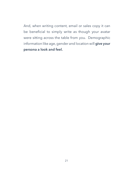And, when writing content, email or sales copy it can be beneficial to simply write as though your avatar were sitting across the table from you. Demographic information like age, gender and location will **give your persona a look and feel.**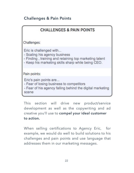### **Challenges & Pain Points**

| <b>CHALLENGES &amp; PAIN POINTS</b>                                                                                                                                      |
|--------------------------------------------------------------------------------------------------------------------------------------------------------------------------|
| Challenges:                                                                                                                                                              |
| Eric is challenged with<br>- Scaling his agency business<br>- Finding, training and retaining top marketing talent<br>- Keep his marketing skills sharp while being CEO. |
| Pain points:                                                                                                                                                             |
| Eric's pain points are<br>- Fear of losing business to competitors<br>- Fear of his agency falling behind the digital marketing<br>scene                                 |

This section will drive new product/service development as well as the copywriting and ad creative you'll use to **compel your ideal customer to action.** 

When selling certifications to Agency Eric, for example, we would do well to build solutions to his challenges and pain points and use language that addresses them in our marketing messages.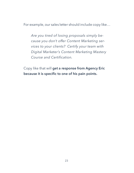For example, our sales letter should include copy like…

*Are you tired of losing proposals simply because you don't offer Content Marketing services to your clients? Certify your team with Digital Marketer's Content Marketing Mastery Course and Certification.*

Copy like that will **get a response from Agency Eric because it is specific to one of his pain points.**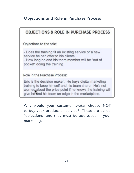### **Objections and Role in Purchase Process**

### **OBJECTIONS & ROLE IN PURCHASE PROCESS**

Objections to the sale:

- Does the training fit an existing service or a new service he can offer to his clients. - How long he and his team member will be "out of

pocket" doing the training

Role in the Purchase Process:

Eric is the decision maker. He buys digital marketing training to keep himself and his team sharp. He's not worried about the price point if he knows the training will give he and his team an edge in the marketplace.

Why would your customer avatar choose NOT to buy your product or service? These are called "objections" and they must be addressed in your marketing.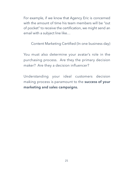For example, if we know that Agency Eric is concerned with the amount of time his team members will be "out of pocket" to receive the certification, we might send an email with a subject line like…

Content Marketing Certified (In one business day)

You must also determine your avatar's role in the purchasing process. Are they the primary decision maker? Are they a decision influencer?

Understanding your ideal customers decision making process is paramount to the **success of your marketing and sales campaigns.**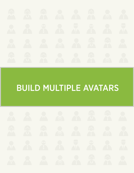

# BUILD MULTIPLE AVATARS

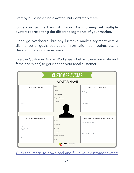Start by building a single avatar. But don't stop there.

#### Once you get the hang of it, you'll be **churning out multiple avatars representing the different segments of your market.**

Don't go overboard, but any lucrative market segment with a distinct set of goals, sources of information, pain points, etc. is deserving of a customer avatar.

Use the Customer Avatar Worksheets below (there are male and female versions) to get clear on your ideal customer.

| <b>CUSTOMER AVATAR</b>                                                                                |                                                                                                                   |                                                                                                              |  |  |  |
|-------------------------------------------------------------------------------------------------------|-------------------------------------------------------------------------------------------------------------------|--------------------------------------------------------------------------------------------------------------|--|--|--|
| <b>AVATAR NAME</b>                                                                                    |                                                                                                                   |                                                                                                              |  |  |  |
| <b>GOALS AND VALUES</b><br>Goals:<br>Values:                                                          | Age:<br>Gender:<br>Marital Status:<br>#/Age of Children:<br>Location:                                             | <b>CHALLENGES &amp; PAIN POINTS</b><br>Challenges:<br>Pain points:                                           |  |  |  |
| SOURCES OF INFORMATION<br>Books:<br>Magazines:<br>Blogs/Websites:<br>Conferences:<br>Gurus:<br>Other: | Quote:<br>Occupation:<br>Job Title:<br>Annual Income:<br>Level of Education:<br>Other:<br><b>DIGITAL</b> MARKETER | <b>OBJECTIONS &amp; ROLE IN PURCHASE PROCESS</b><br>Objections to the sale:<br>Role in the Purchase Process: |  |  |  |

[Click the image to download and fill in your customer avatar!](http://f06e5ce0f26a9549dd00-7816df5e71a86b528c0c2ba191f58d08.r44.cf2.rackcdn.com/customer-avatar-graphic-male.pdf)